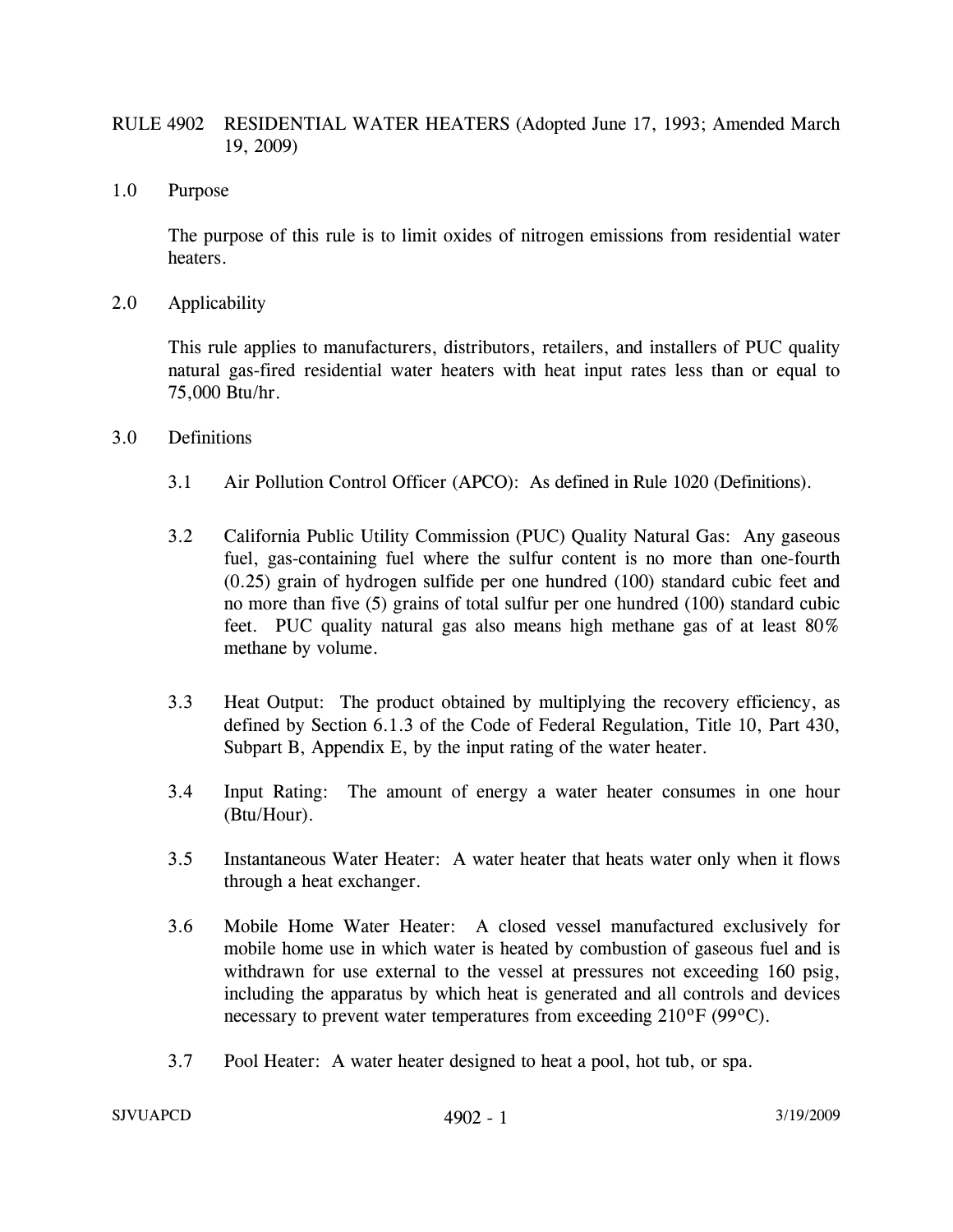## RULE 4902 RESIDENTIAL WATER HEATERS (Adopted June 17, 1993; Amended March 19, 2009)

1.0 Purpose

 The purpose of this rule is to limit oxides of nitrogen emissions from residential water heaters.

2.0 Applicability

 This rule applies to manufacturers, distributors, retailers, and installers of PUC quality natural gas-fired residential water heaters with heat input rates less than or equal to 75,000 Btu/hr.

- 3.0 Definitions
	- 3.1 Air Pollution Control Officer (APCO): As defined in Rule 1020 (Definitions).
	- 3.2 California Public Utility Commission (PUC) Quality Natural Gas: Any gaseous fuel, gas-containing fuel where the sulfur content is no more than one-fourth (0.25) grain of hydrogen sulfide per one hundred (100) standard cubic feet and no more than five (5) grains of total sulfur per one hundred (100) standard cubic feet. PUC quality natural gas also means high methane gas of at least 80% methane by volume.
	- 3.3 Heat Output: The product obtained by multiplying the recovery efficiency, as defined by Section 6.1.3 of the Code of Federal Regulation, Title 10, Part 430, Subpart B, Appendix E, by the input rating of the water heater.
	- 3.4 Input Rating: The amount of energy a water heater consumes in one hour (Btu/Hour).
	- 3.5 Instantaneous Water Heater: A water heater that heats water only when it flows through a heat exchanger.
	- 3.6 Mobile Home Water Heater: A closed vessel manufactured exclusively for mobile home use in which water is heated by combustion of gaseous fuel and is withdrawn for use external to the vessel at pressures not exceeding 160 psig, including the apparatus by which heat is generated and all controls and devices necessary to prevent water temperatures from exceeding 210ºF (99ºC).
	- 3.7 Pool Heater: A water heater designed to heat a pool, hot tub, or spa.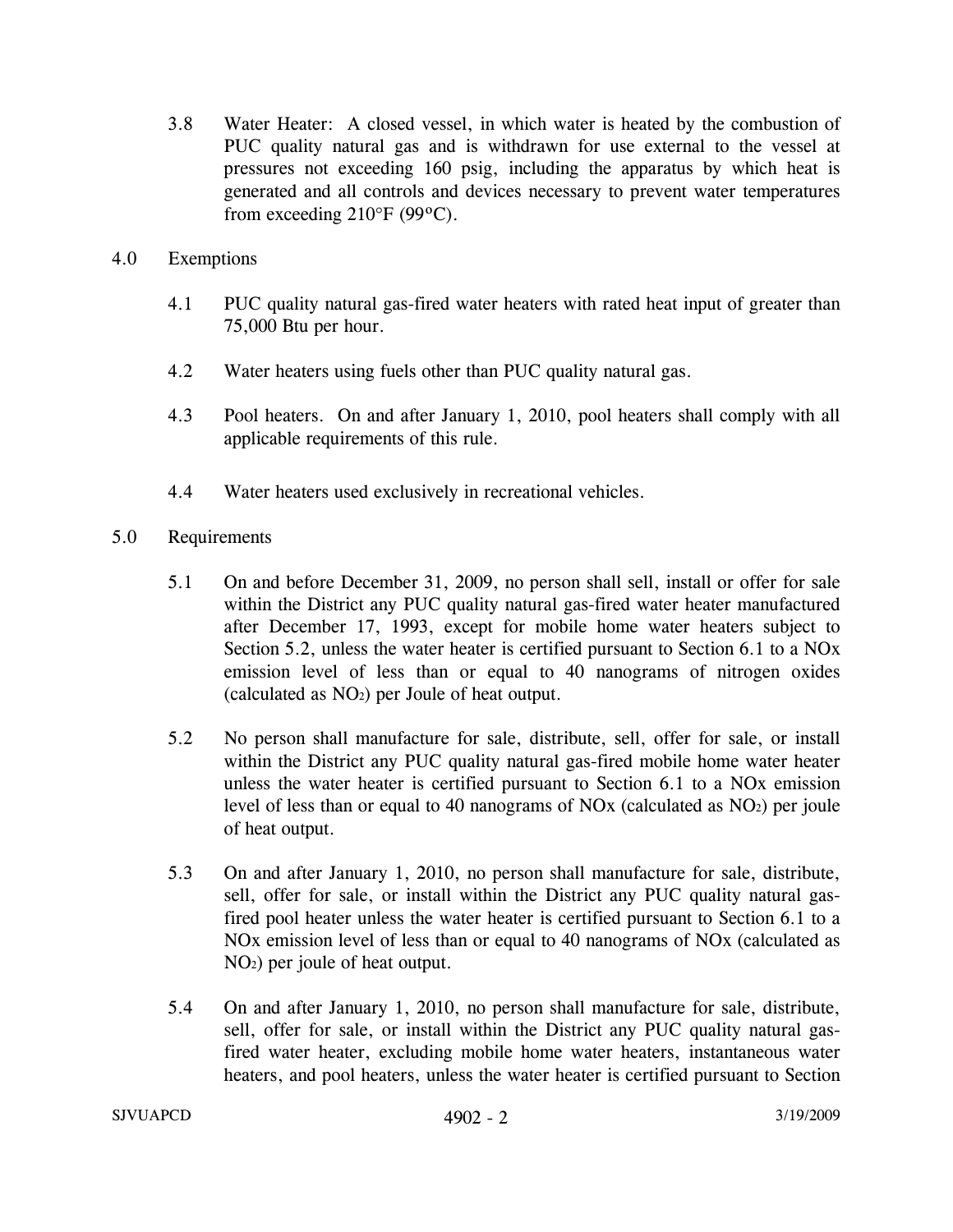- 3.8 Water Heater: A closed vessel, in which water is heated by the combustion of PUC quality natural gas and is withdrawn for use external to the vessel at pressures not exceeding 160 psig, including the apparatus by which heat is generated and all controls and devices necessary to prevent water temperatures from exceeding 210°F (99ºC).
- 4.0 Exemptions
	- 4.1 PUC quality natural gas-fired water heaters with rated heat input of greater than 75,000 Btu per hour.
	- 4.2 Water heaters using fuels other than PUC quality natural gas.
	- 4.3 Pool heaters. On and after January 1, 2010, pool heaters shall comply with all applicable requirements of this rule.
	- 4.4 Water heaters used exclusively in recreational vehicles.
- 5.0 Requirements
	- 5.1 On and before December 31, 2009, no person shall sell, install or offer for sale within the District any PUC quality natural gas-fired water heater manufactured after December 17, 1993, except for mobile home water heaters subject to Section 5.2, unless the water heater is certified pursuant to Section 6.1 to a NOx emission level of less than or equal to 40 nanograms of nitrogen oxides (calculated as NO2) per Joule of heat output.
	- 5.2 No person shall manufacture for sale, distribute, sell, offer for sale, or install within the District any PUC quality natural gas-fired mobile home water heater unless the water heater is certified pursuant to Section 6.1 to a NOx emission level of less than or equal to 40 nanograms of  $NOx$  (calculated as  $NO<sub>2</sub>$ ) per joule of heat output.
	- 5.3 On and after January 1, 2010, no person shall manufacture for sale, distribute, sell, offer for sale, or install within the District any PUC quality natural gasfired pool heater unless the water heater is certified pursuant to Section 6.1 to a NOx emission level of less than or equal to 40 nanograms of NOx (calculated as NO2) per joule of heat output.
	- 5.4 On and after January 1, 2010, no person shall manufacture for sale, distribute, sell, offer for sale, or install within the District any PUC quality natural gasfired water heater, excluding mobile home water heaters, instantaneous water heaters, and pool heaters, unless the water heater is certified pursuant to Section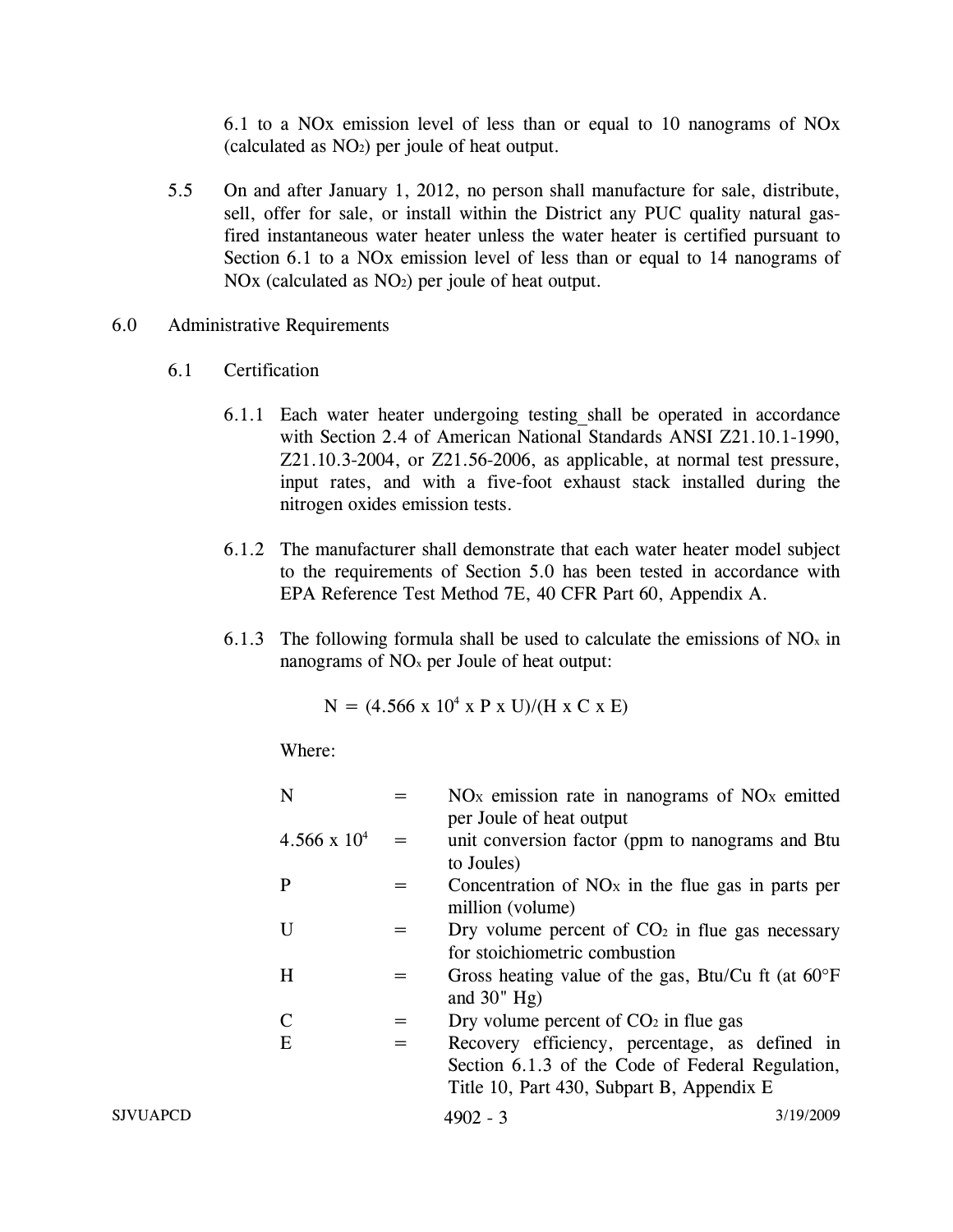6.1 to a NOx emission level of less than or equal to 10 nanograms of NOx (calculated as NO2) per joule of heat output.

- 5.5 On and after January 1, 2012, no person shall manufacture for sale, distribute, sell, offer for sale, or install within the District any PUC quality natural gasfired instantaneous water heater unless the water heater is certified pursuant to Section 6.1 to a NOx emission level of less than or equal to 14 nanograms of NO<sub>x</sub> (calculated as NO<sub>2</sub>) per joule of heat output.
- 6.0 Administrative Requirements
	- 6.1 Certification
		- 6.1.1 Each water heater undergoing testing shall be operated in accordance with Section 2.4 of American National Standards ANSI Z21.10.1-1990, Z21.10.3-2004, or Z21.56-2006, as applicable, at normal test pressure, input rates, and with a five-foot exhaust stack installed during the nitrogen oxides emission tests.
		- 6.1.2 The manufacturer shall demonstrate that each water heater model subject to the requirements of Section 5.0 has been tested in accordance with EPA Reference Test Method 7E, 40 CFR Part 60, Appendix A.
		- 6.1.3 The following formula shall be used to calculate the emissions of  $NO<sub>x</sub>$  in nanograms of NOx per Joule of heat output:

$$
N = (4.566 \times 10^4 \times P \times U)/(H \times C \times E)
$$

Where:

| N              |     | $NOx$ emission rate in nanograms of $NOx$ emitted                                                                                               |
|----------------|-----|-------------------------------------------------------------------------------------------------------------------------------------------------|
| 4.566 x $10^4$ |     | per Joule of heat output<br>unit conversion factor (ppm to nanograms and Btu<br>to Joules)                                                      |
| $\mathbf{P}$   |     | Concentration of $NOx$ in the flue gas in parts per<br>million (volume)                                                                         |
| U              |     | Dry volume percent of $CO2$ in flue gas necessary<br>for stoichiometric combustion                                                              |
| $H_{\rm}$      | $=$ | Gross heating value of the gas, Btu/Cu ft (at $60^{\circ}F$ )<br>and $30"$ Hg)                                                                  |
|                | $=$ | Dry volume percent of $CO2$ in flue gas                                                                                                         |
| E              | $=$ | Recovery efficiency, percentage, as defined in<br>Section 6.1.3 of the Code of Federal Regulation,<br>Title 10, Part 430, Subpart B, Appendix E |
| SJVUAPCD       |     | 3/19/2009<br>$4902 - 3$                                                                                                                         |